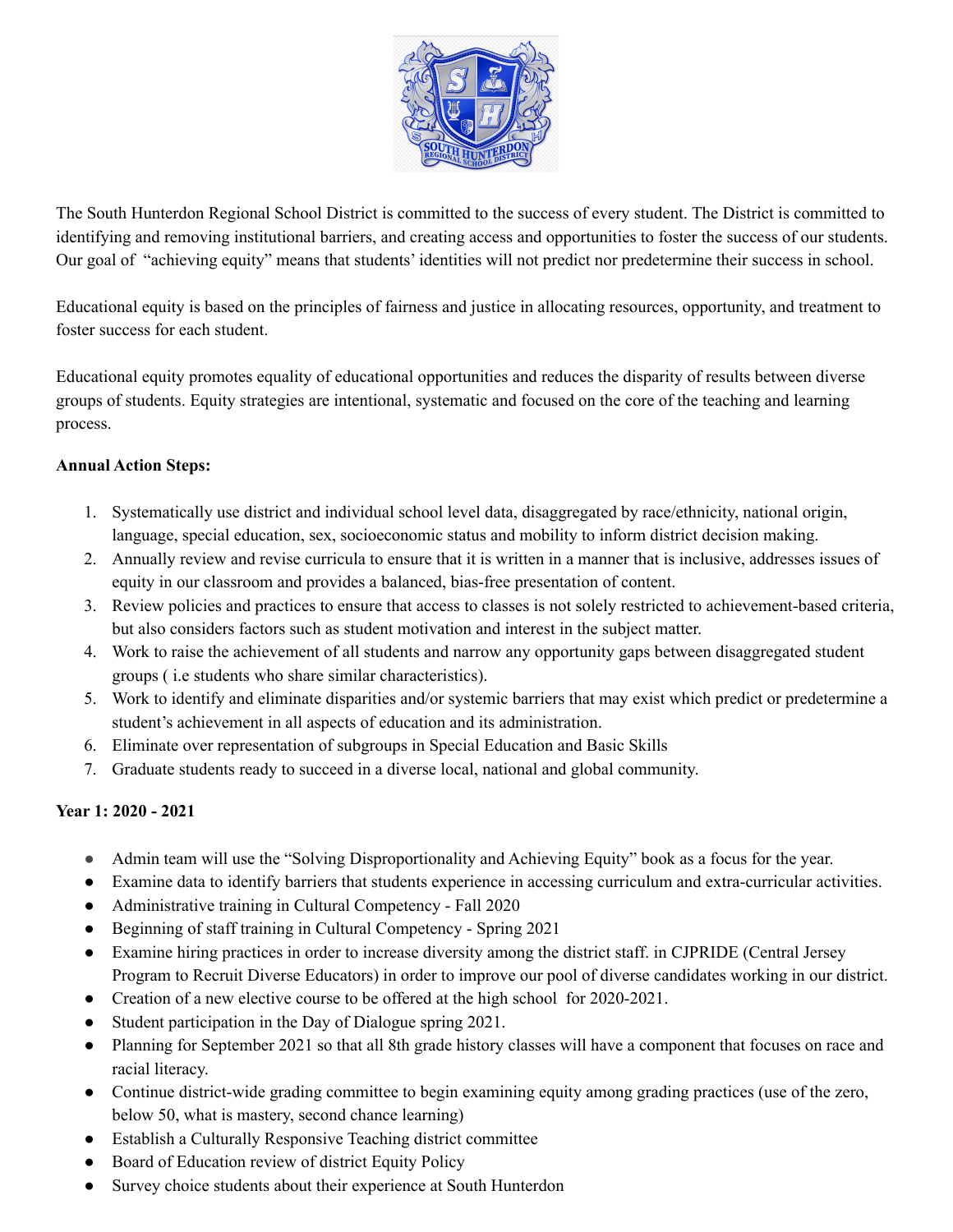

The South Hunterdon Regional School District is committed to the success of every student. The District is committed to identifying and removing institutional barriers, and creating access and opportunities to foster the success of our students. Our goal of "achieving equity" means that students' identities will not predict nor predetermine their success in school.

Educational equity is based on the principles of fairness and justice in allocating resources, opportunity, and treatment to foster success for each student.

Educational equity promotes equality of educational opportunities and reduces the disparity of results between diverse groups of students. Equity strategies are intentional, systematic and focused on the core of the teaching and learning process.

## **Annual Action Steps:**

- 1. Systematically use district and individual school level data, disaggregated by race/ethnicity, national origin, language, special education, sex, socioeconomic status and mobility to inform district decision making.
- 2. Annually review and revise curricula to ensure that it is written in a manner that is inclusive, addresses issues of equity in our classroom and provides a balanced, bias-free presentation of content.
- 3. Review policies and practices to ensure that access to classes is not solely restricted to achievement-based criteria, but also considers factors such as student motivation and interest in the subject matter.
- 4. Work to raise the achievement of all students and narrow any opportunity gaps between disaggregated student groups ( i.e students who share similar characteristics).
- 5. Work to identify and eliminate disparities and/or systemic barriers that may exist which predict or predetermine a student's achievement in all aspects of education and its administration.
- 6. Eliminate over representation of subgroups in Special Education and Basic Skills
- 7. Graduate students ready to succeed in a diverse local, national and global community.

# **Year 1: 2020 - 2021**

- **●** Admin team will use the "Solving Disproportionality and Achieving Equity" book as a focus for the year.
- Examine data to identify barriers that students experience in accessing curriculum and extra-curricular activities.
- Administrative training in Cultural Competency Fall 2020
- Beginning of staff training in Cultural Competency Spring 2021
- Examine hiring practices in order to increase diversity among the district staff. in CJPRIDE (Central Jersey Program to Recruit Diverse Educators) in order to improve our pool of diverse candidates working in our district.
- Creation of a new elective course to be offered at the high school for 2020-2021.
- Student participation in the Day of Dialogue spring 2021.
- Planning for September 2021 so that all 8th grade history classes will have a component that focuses on race and racial literacy.
- Continue district-wide grading committee to begin examining equity among grading practices (use of the zero, below 50, what is mastery, second chance learning)
- Establish a Culturally Responsive Teaching district committee
- Board of Education review of district Equity Policy
- Survey choice students about their experience at South Hunterdon